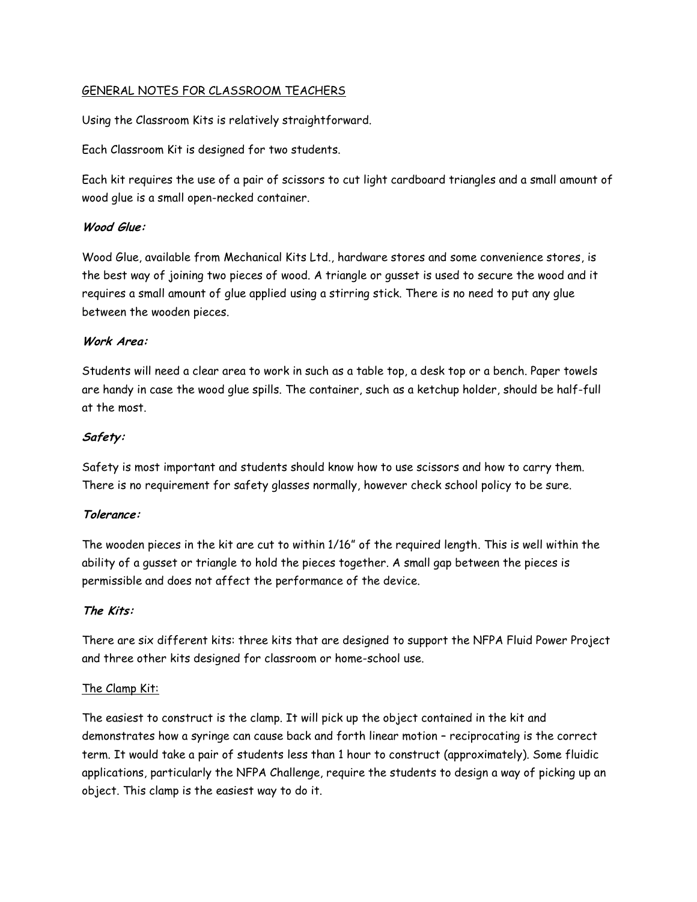# GENERAL NOTES FOR CLASSROOM TEACHERS

Using the Classroom Kits is relatively straightforward.

Each Classroom Kit is designed for two students.

Each kit requires the use of a pair of scissors to cut light cardboard triangles and a small amount of wood glue is a small open-necked container.

## **Wood Glue:**

Wood Glue, available from Mechanical Kits Ltd., hardware stores and some convenience stores, is the best way of joining two pieces of wood. A triangle or gusset is used to secure the wood and it requires a small amount of glue applied using a stirring stick. There is no need to put any glue between the wooden pieces.

## **Work Area:**

Students will need a clear area to work in such as a table top, a desk top or a bench. Paper towels are handy in case the wood glue spills. The container, such as a ketchup holder, should be half-full at the most.

## **Safety:**

Safety is most important and students should know how to use scissors and how to carry them. There is no requirement for safety glasses normally, however check school policy to be sure.

# **Tolerance:**

The wooden pieces in the kit are cut to within 1/16" of the required length. This is well within the ability of a gusset or triangle to hold the pieces together. A small gap between the pieces is permissible and does not affect the performance of the device.

### **The Kits:**

There are six different kits: three kits that are designed to support the NFPA Fluid Power Project and three other kits designed for classroom or home-school use.

### The Clamp Kit:

The easiest to construct is the clamp. It will pick up the object contained in the kit and demonstrates how a syringe can cause back and forth linear motion – reciprocating is the correct term. It would take a pair of students less than 1 hour to construct (approximately). Some fluidic applications, particularly the NFPA Challenge, require the students to design a way of picking up an object. This clamp is the easiest way to do it.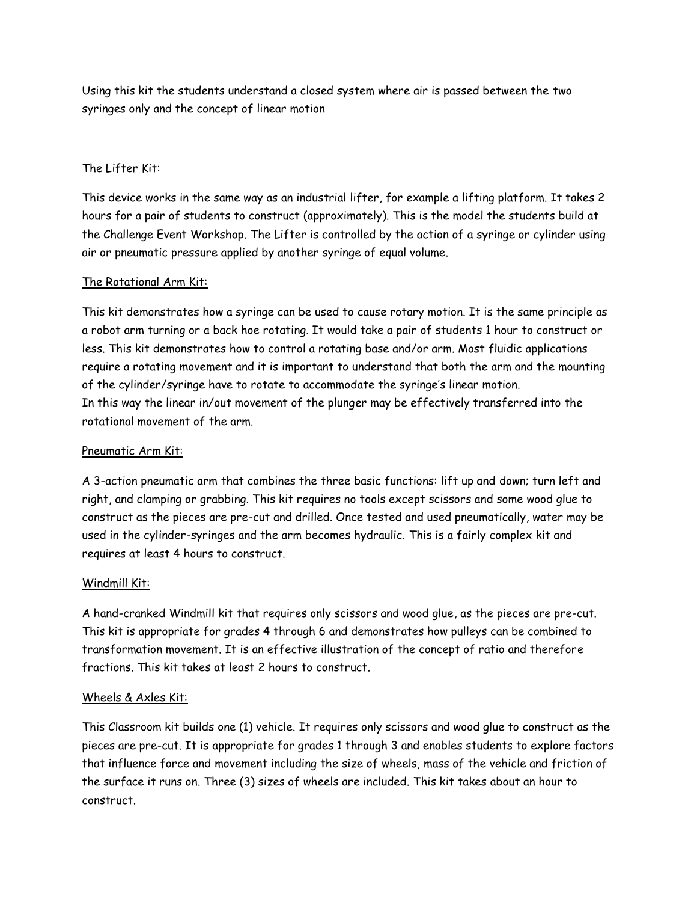Using this kit the students understand a closed system where air is passed between the two syringes only and the concept of linear motion

# The Lifter Kit:

This device works in the same way as an industrial lifter, for example a lifting platform. It takes 2 hours for a pair of students to construct (approximately). This is the model the students build at the Challenge Event Workshop. The Lifter is controlled by the action of a syringe or cylinder using air or pneumatic pressure applied by another syringe of equal volume.

# The Rotational Arm Kit:

This kit demonstrates how a syringe can be used to cause rotary motion. It is the same principle as a robot arm turning or a back hoe rotating. It would take a pair of students 1 hour to construct or less. This kit demonstrates how to control a rotating base and/or arm. Most fluidic applications require a rotating movement and it is important to understand that both the arm and the mounting of the cylinder/syringe have to rotate to accommodate the syringe's linear motion. In this way the linear in/out movement of the plunger may be effectively transferred into the rotational movement of the arm.

## Pneumatic Arm Kit:

A 3-action pneumatic arm that combines the three basic functions: lift up and down; turn left and right, and clamping or grabbing. This kit requires no tools except scissors and some wood glue to construct as the pieces are pre-cut and drilled. Once tested and used pneumatically, water may be used in the cylinder-syringes and the arm becomes hydraulic. This is a fairly complex kit and requires at least 4 hours to construct.

### Windmill Kit:

A hand-cranked Windmill kit that requires only scissors and wood glue, as the pieces are pre-cut. This kit is appropriate for grades 4 through 6 and demonstrates how pulleys can be combined to transformation movement. It is an effective illustration of the concept of ratio and therefore fractions. This kit takes at least 2 hours to construct.

### Wheels & Axles Kit:

This Classroom kit builds one (1) vehicle. It requires only scissors and wood glue to construct as the pieces are pre-cut. It is appropriate for grades 1 through 3 and enables students to explore factors that influence force and movement including the size of wheels, mass of the vehicle and friction of the surface it runs on. Three (3) sizes of wheels are included. This kit takes about an hour to construct.